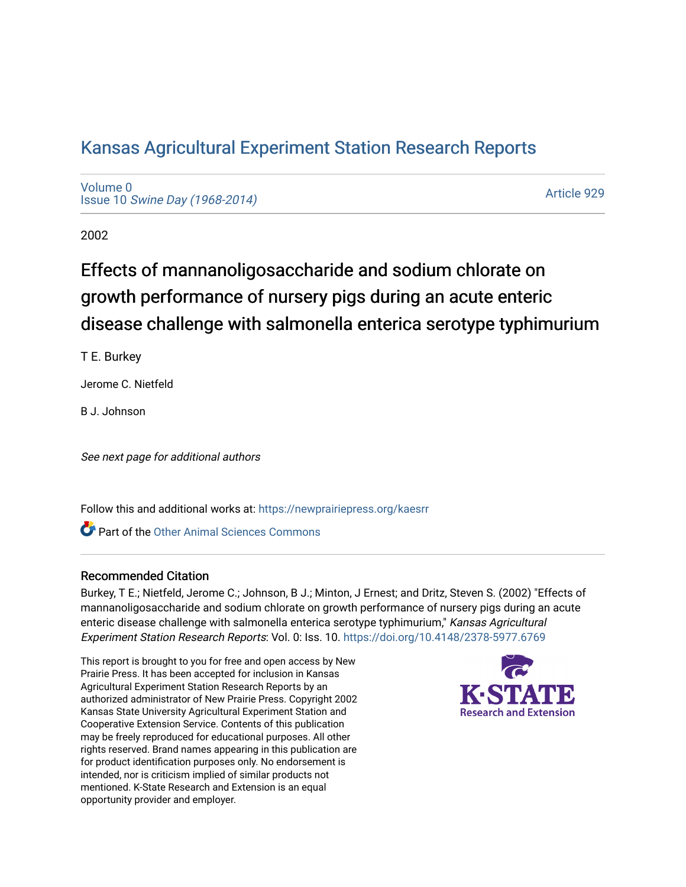# [Kansas Agricultural Experiment Station Research Reports](https://newprairiepress.org/kaesrr)

[Volume 0](https://newprairiepress.org/kaesrr/vol0) Issue 10 [Swine Day \(1968-2014\)](https://newprairiepress.org/kaesrr/vol0/iss10)

[Article 929](https://newprairiepress.org/kaesrr/vol0/iss10/929) 

2002

# Effects of mannanoligosaccharide and sodium chlorate on growth performance of nursery pigs during an acute enteric disease challenge with salmonella enterica serotype typhimurium

T E. Burkey

Jerome C. Nietfeld

B J. Johnson

See next page for additional authors

Follow this and additional works at: [https://newprairiepress.org/kaesrr](https://newprairiepress.org/kaesrr?utm_source=newprairiepress.org%2Fkaesrr%2Fvol0%2Fiss10%2F929&utm_medium=PDF&utm_campaign=PDFCoverPages) 

**C** Part of the [Other Animal Sciences Commons](http://network.bepress.com/hgg/discipline/82?utm_source=newprairiepress.org%2Fkaesrr%2Fvol0%2Fiss10%2F929&utm_medium=PDF&utm_campaign=PDFCoverPages)

#### Recommended Citation

Burkey, T E.; Nietfeld, Jerome C.; Johnson, B J.; Minton, J Ernest; and Dritz, Steven S. (2002) "Effects of mannanoligosaccharide and sodium chlorate on growth performance of nursery pigs during an acute enteric disease challenge with salmonella enterica serotype typhimurium," Kansas Agricultural Experiment Station Research Reports: Vol. 0: Iss. 10. <https://doi.org/10.4148/2378-5977.6769>

This report is brought to you for free and open access by New Prairie Press. It has been accepted for inclusion in Kansas Agricultural Experiment Station Research Reports by an authorized administrator of New Prairie Press. Copyright 2002 Kansas State University Agricultural Experiment Station and Cooperative Extension Service. Contents of this publication may be freely reproduced for educational purposes. All other rights reserved. Brand names appearing in this publication are for product identification purposes only. No endorsement is intended, nor is criticism implied of similar products not mentioned. K-State Research and Extension is an equal opportunity provider and employer.

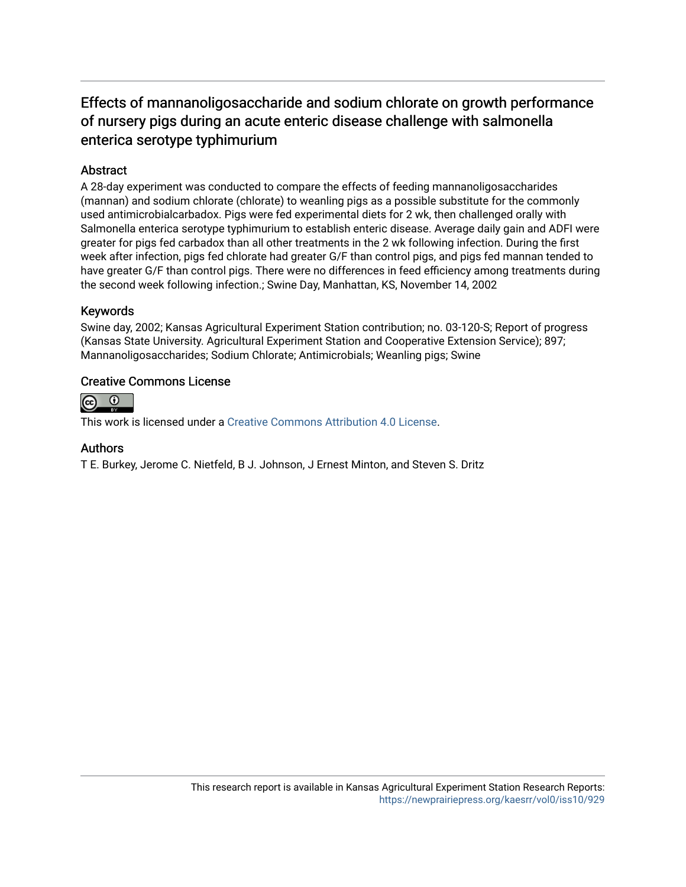### Effects of mannanoligosaccharide and sodium chlorate on growth performance of nursery pigs during an acute enteric disease challenge with salmonella enterica serotype typhimurium

#### **Abstract**

A 28-day experiment was conducted to compare the effects of feeding mannanoligosaccharides (mannan) and sodium chlorate (chlorate) to weanling pigs as a possible substitute for the commonly used antimicrobialcarbadox. Pigs were fed experimental diets for 2 wk, then challenged orally with Salmonella enterica serotype typhimurium to establish enteric disease. Average daily gain and ADFI were greater for pigs fed carbadox than all other treatments in the 2 wk following infection. During the first week after infection, pigs fed chlorate had greater G/F than control pigs, and pigs fed mannan tended to have greater G/F than control pigs. There were no differences in feed efficiency among treatments during the second week following infection.; Swine Day, Manhattan, KS, November 14, 2002

#### Keywords

Swine day, 2002; Kansas Agricultural Experiment Station contribution; no. 03-120-S; Report of progress (Kansas State University. Agricultural Experiment Station and Cooperative Extension Service); 897; Mannanoligosaccharides; Sodium Chlorate; Antimicrobials; Weanling pigs; Swine

#### Creative Commons License



This work is licensed under a [Creative Commons Attribution 4.0 License](https://creativecommons.org/licenses/by/4.0/).

#### Authors

T E. Burkey, Jerome C. Nietfeld, B J. Johnson, J Ernest Minton, and Steven S. Dritz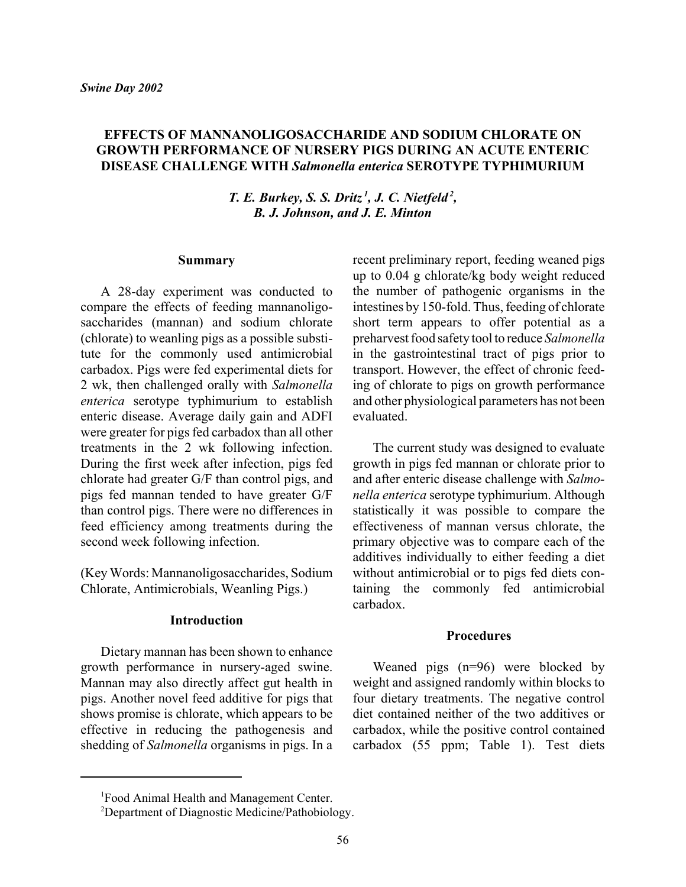#### **EFFECTS OF MANNANOLIGOSACCHARIDE AND SODIUM CHLORATE ON GROWTH PERFORMANCE OF NURSERY PIGS DURING AN ACUTE ENTERIC DISEASE CHALLENGE WITH** *Salmonella enterica* **SEROTYPE TYPHIMURIUM**

*T. E. Burkey, S. S. Dritz<sup>1</sup>, J. C. Nietfeld<sup>2</sup>, B. J. Johnson, and J. E. Minton*

#### **Summary**

A 28-day experiment was conducted to compare the effects of feeding mannanoligosaccharides (mannan) and sodium chlorate (chlorate) to weanling pigs as a possible substitute for the commonly used antimicrobial carbadox. Pigs were fed experimental diets for 2 wk, then challenged orally with *Salmonella enterica* serotype typhimurium to establish enteric disease. Average daily gain and ADFI were greater for pigs fed carbadox than all other treatments in the 2 wk following infection. During the first week after infection, pigs fed chlorate had greater G/F than control pigs, and pigs fed mannan tended to have greater G/F than control pigs. There were no differences in feed efficiency among treatments during the second week following infection.

(Key Words: Mannanoligosaccharides, Sodium Chlorate, Antimicrobials, Weanling Pigs.)

#### **Introduction**

Dietary mannan has been shown to enhance growth performance in nursery-aged swine. Mannan may also directly affect gut health in pigs. Another novel feed additive for pigs that shows promise is chlorate, which appears to be effective in reducing the pathogenesis and shedding of *Salmonella* organisms in pigs. In a

recent preliminary report, feeding weaned pigs up to 0.04 g chlorate/kg body weight reduced the number of pathogenic organisms in the intestines by 150-fold. Thus, feeding of chlorate short term appears to offer potential as a preharvest food safety tool to reduce *Salmonella* in the gastrointestinal tract of pigs prior to transport. However, the effect of chronic feeding of chlorate to pigs on growth performance and other physiological parameters has not been evaluated.

The current study was designed to evaluate growth in pigs fed mannan or chlorate prior to and after enteric disease challenge with *Salmonella enterica* serotype typhimurium. Although statistically it was possible to compare the effectiveness of mannan versus chlorate, the primary objective was to compare each of the additives individually to either feeding a diet without antimicrobial or to pigs fed diets containing the commonly fed antimicrobial carbadox.

#### **Procedures**

Weaned pigs (n=96) were blocked by weight and assigned randomly within blocks to four dietary treatments. The negative control diet contained neither of the two additives or carbadox, while the positive control contained carbadox (55 ppm; Table 1). Test diets

<sup>&</sup>lt;sup>1</sup>Food Animal Health and Management Center.

<sup>&</sup>lt;sup>2</sup>Department of Diagnostic Medicine/Pathobiology.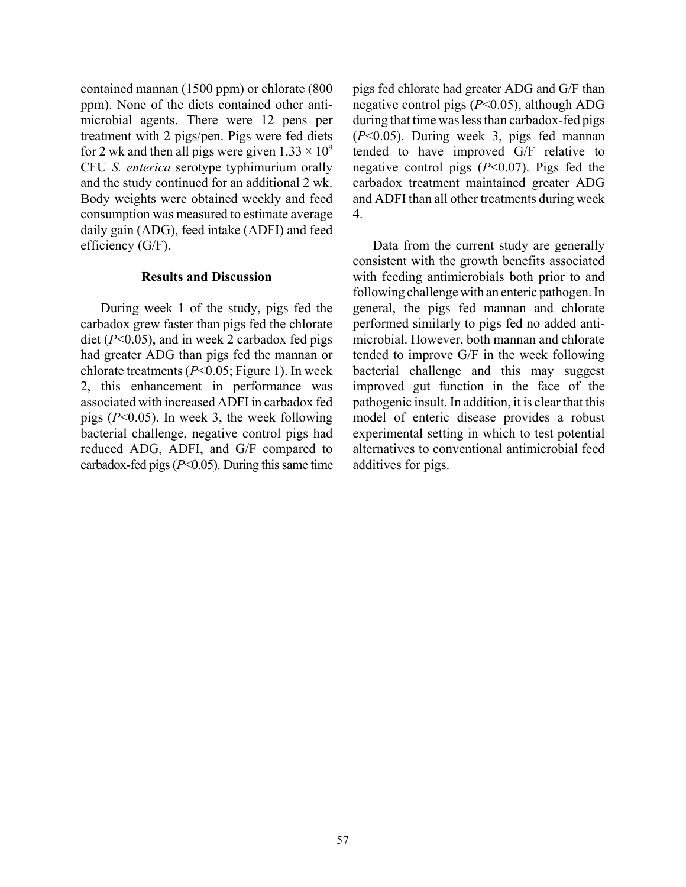contained mannan (1500 ppm) or chlorate (800 ppm). None of the diets contained other antimicrobial agents. There were 12 pens per treatment with 2 pigs/pen. Pigs were fed diets for 2 wk and then all pigs were given  $1.33 \times 10^9$ CFU *S. enterica* serotype typhimurium orally and the study continued for an additional 2 wk. Body weights were obtained weekly and feed consumption was measured to estimate average daily gain (ADG), feed intake (ADFI) and feed efficiency (G/F).

#### **Results and Discussion**

During week 1 of the study, pigs fed the carbadox grew faster than pigs fed the chlorate diet (*P*<0.05), and in week 2 carbadox fed pigs had greater ADG than pigs fed the mannan or chlorate treatments (*P*<0.05; Figure 1). In week 2, this enhancement in performance was associated with increased ADFI in carbadox fed pigs (*P*<0.05). In week 3, the week following bacterial challenge, negative control pigs had reduced ADG, ADFI, and G/F compared to carbadox-fed pigs  $(P<0.05)$ . During this same time pigs fed chlorate had greater ADG and G/F than negative control pigs (*P*<0.05), although ADG during that time was less than carbadox-fed pigs (*P*<0.05). During week 3, pigs fed mannan tended to have improved G/F relative to negative control pigs (*P*<0.07). Pigs fed the carbadox treatment maintained greater ADG and ADFI than all other treatments during week 4.

Data from the current study are generally consistent with the growth benefits associated with feeding antimicrobials both prior to and following challenge with an enteric pathogen. In general, the pigs fed mannan and chlorate performed similarly to pigs fed no added antimicrobial. However, both mannan and chlorate tended to improve G/F in the week following bacterial challenge and this may suggest improved gut function in the face of the pathogenic insult. In addition, it is clear that this model of enteric disease provides a robust experimental setting in which to test potential alternatives to conventional antimicrobial feed additives for pigs.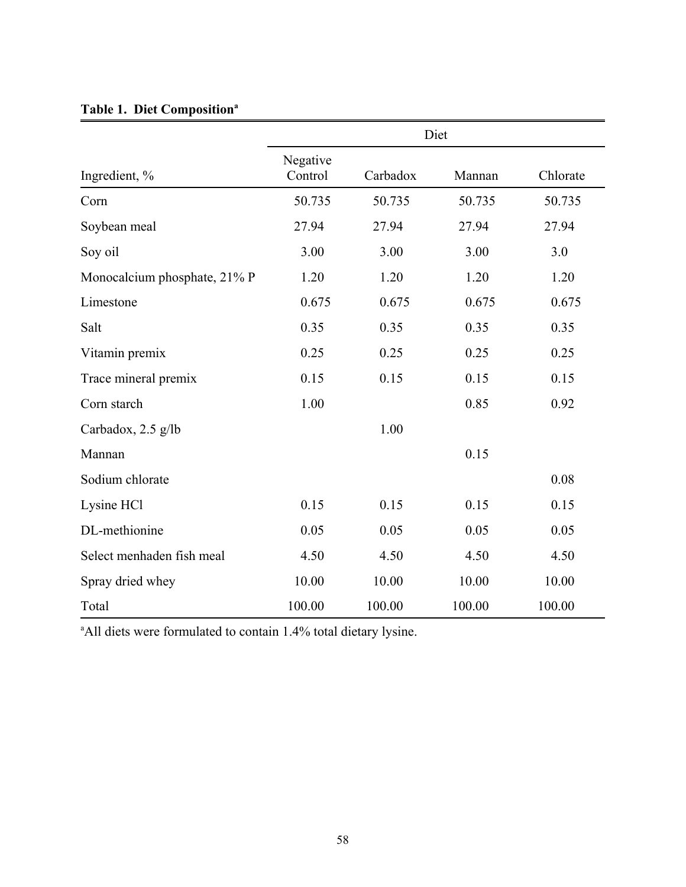|                              | Diet                |          |        |          |
|------------------------------|---------------------|----------|--------|----------|
| Ingredient, %                | Negative<br>Control | Carbadox | Mannan | Chlorate |
| Corn                         | 50.735              | 50.735   | 50.735 | 50.735   |
| Soybean meal                 | 27.94               | 27.94    | 27.94  | 27.94    |
| Soy oil                      | 3.00                | 3.00     | 3.00   | 3.0      |
| Monocalcium phosphate, 21% P | 1.20                | 1.20     | 1.20   | 1.20     |
| Limestone                    | 0.675               | 0.675    | 0.675  | 0.675    |
| Salt                         | 0.35                | 0.35     | 0.35   | 0.35     |
| Vitamin premix               | 0.25                | 0.25     | 0.25   | 0.25     |
| Trace mineral premix         | 0.15                | 0.15     | 0.15   | 0.15     |
| Corn starch                  | 1.00                |          | 0.85   | 0.92     |
| Carbadox, 2.5 g/lb           |                     | 1.00     |        |          |
| Mannan                       |                     |          | 0.15   |          |
| Sodium chlorate              |                     |          |        | 0.08     |
| Lysine HCl                   | 0.15                | 0.15     | 0.15   | 0.15     |
| DL-methionine                | 0.05                | 0.05     | 0.05   | 0.05     |
| Select menhaden fish meal    | 4.50                | 4.50     | 4.50   | 4.50     |
| Spray dried whey             | 10.00               | 10.00    | 10.00  | 10.00    |
| Total                        | 100.00              | 100.00   | 100.00 | 100.00   |

## Table 1. Diet Composition<sup>a</sup>

<sup>a</sup> All diets were formulated to contain 1.4% total dietary lysine.